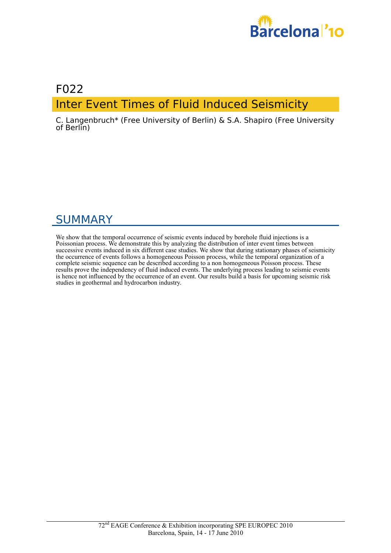

# F022 Inter Event Times of Fluid Induced Seismicity

C. Langenbruch\* (Free University of Berlin) & S.A. Shapiro (Free University of Berlin)

# SUMMARY

We show that the temporal occurrence of seismic events induced by borehole fluid injections is a Poissonian process. We demonstrate this by analyzing the distribution of inter event times between successive events induced in six different case studies. We show that during stationary phases of seismicity the occurrence of events follows a homogeneous Poisson process, while the temporal organization of a complete seismic sequence can be described according to a non homogeneous Poisson process. These results prove the independency of fluid induced events. The underlying process leading to seismic events is hence not influenced by the occurrence of an event. Our results build a basis for upcoming seismic risk studies in geothermal and hydrocarbon industry.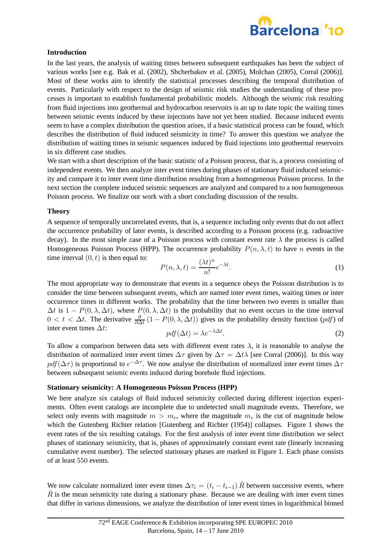

## **Introduction**

In the last years, the analysis of waiting times between subsequent earthquakes has been the subject of various works [see e.g. Bak et al. (2002), Shcherbakov et al. (2005), Molchan (2005), Corral (2006)]. Most of these works aim to identify the statistical processes describing the temporal distribution of events. Particularly with respect to the design of seismic risk studies the understanding of these processes is important to establish fundamental probabilistic models. Although the seismic risk resulting from fluid injections into geothermal and hydrocarbon reservoirs is an up to date topic the waiting times between seismic events induced by these injections have not yet been studied. Because induced events seem to have a complex distribution the question arises, if a basic statistical process can be found, which describes the distribution of fluid induced seismicity in time? To answer this question we analyze the distribution of waiting times in seismic sequences induced by fluid injections into geothermal reservoirs in six different case studies.

We start with a short description of the basic statistic of a Poisson process, that is, a process consisting of independent events. We then analyze inter event times during phases of stationary fluid induced seismicity and compare it to inter event time distribution resulting from a homogeneous Poisson process. In the next section the complete induced seismic sequences are analyzed and compared to a non homogeneous Poisson process. We finalize our work with a short concluding discussion of the results.

#### **Theory**

A sequence of temporally uncorrelated events, that is, a sequence including only events that do not affect the occurrence probability of later events, is described according to a Poisson process (e.g. radioactive decay). In the most simple case of a Poisson process with constant event rate  $\lambda$  the process is called Homogeneous Poisson Process (HPP). The occurrence probability  $P(n, \lambda, t)$  to have n events in the time interval  $(0, t)$  is then equal to: n

$$
P(n,\lambda,t) = \frac{(\lambda t)^n}{n!} e^{-\lambda t}.
$$
 (1)

The most appropriate way to demonstrate that events in a sequence obeys the Poisson distribution is to consider the time between subsequent events, which are named inter event times, waiting times or inter occurrence times in different works. The probability that the time between two events is smaller than  $\Delta t$  is  $1 - P(0, \lambda, \Delta t)$ , where  $P(0, \lambda, \Delta t)$  is the probability that no event occurs in the time interval  $0 < t < \Delta t$ . The derivative  $\frac{\partial}{\partial \Delta t} (1 - P(0, \lambda, \Delta t))$  gives us the probability density function (pdf) of inter event times  $\Delta t$ :

$$
pdf(\Delta t) = \lambda e^{-\lambda \Delta t}.
$$
\n(2)

To allow a comparison between data sets with different event rates  $\lambda$ , it is reasonable to analyse the distribution of normalized inter event times  $\Delta \tau$  given by  $\Delta \tau = \Delta t \lambda$  [see Corral (2006)]. In this way pdf( $\Delta \tau$ ) is proportional to  $e^{-\Delta \tau}$ . We now analyse the distribution of normalized inter event times  $\Delta \tau$ between subsequent seismic events induced during borehole fluid injections.

#### **Stationary seismicity: A Homogeneous Poisson Process (HPP)**

We here analyze six catalogs of fluid induced seismicity collected during different injection experiments. Often event catalogs are incomplete due to undetected small magnitude events. Therefore, we select only events with magnitude  $m > m_c$ , where the magnitude  $m_c$  is the cut of magnitude below which the Gutenberg Richter relation [Gutenberg and Richter (1954)] collapses. Figure 1 shows the event rates of the six resulting catalogs. For the first analysis of inter event time distribution we select phases of stationary seismicity, that is, phases of approximately constant event rate (linearly increasing cumulative event number). The selected stationary phases are marked in Figure 1. Each phase consists of at least 550 events.

We now calculate normalized inter event times  $\Delta \tau_i = (t_i - t_{i-1}) \hat{R}$  between successive events, where  $R$  is the mean seismicity rate during a stationary phase. Because we are dealing with inter event times that differ in various dimensions, we analyze the distribution of inter event times in logarithmical binned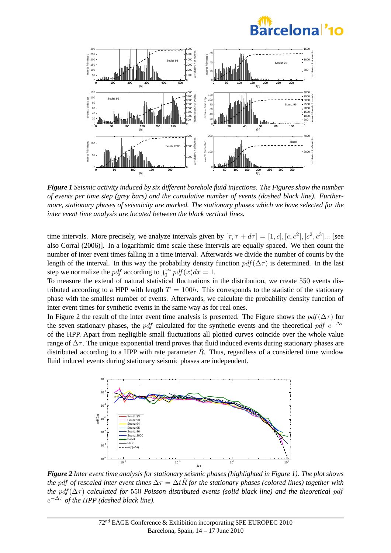



*Figure 1 Seismic activity induced by six different borehole fluid injections. The Figures show the number of events per time step (grey bars) and the cumulative number of events (dashed black line). Furthermore, stationary phases of seismicity are marked. The stationary phases which we have selected for the inter event time analysis are located between the black vertical lines.*

time intervals. More precisely, we analyze intervals given by  $[\tau, \tau + d\tau] = [1, c], [c, c^2], [c^2, c^3]...$  [see also Corral (2006)]. In a logarithmic time scale these intervals are equally spaced. We then count the number of inter event times falling in a time interval. Afterwards we divide the number of counts by the length of the interval. In this way the probability density function  $pdf(\Delta\tau)$  is determined. In the last step we normalize the *pdf* according to  $\int_0^\infty p df(x) dx = 1$ .

To measure the extend of natural statistical fluctuations in the distribution, we create 550 events distributed according to a HPP with length  $T = 100h$ . This corresponds to the statistic of the stationary phase with the smallest number of events. Afterwards, we calculate the probability density function of inter event times for synthetic events in the same way as for real ones.

In Figure 2 the result of the inter event time analysis is presented. The Figure shows the  $pdf(\Delta \tau)$  for the seven stationary phases, the pdf calculated for the synthetic events and the theoretical pdf  $e^{-\Delta \tau}$ of the HPP. Apart from negligible small fluctuations all plotted curves coincide over the whole value range of  $\Delta \tau$ . The unique exponential trend proves that fluid induced events during stationary phases are distributed according to a HPP with rate parameter  $\hat{R}$ . Thus, regardless of a considered time window fluid induced events during stationary seismic phases are independent.



*Figure 2 Inter event time analysis for stationary seismic phases (highlighted in Figure 1). The plot shows the* pdf of rescaled inter event times  $\Delta \tau = \Delta t R$  for the stationary phases (colored lines) together with *the*  $pdf(\Delta \tau)$  *calculated for* 550 *Poisson distributed events (solid black line) and the theoretical pdf*  $e^{-\Delta \tau}$  of the HPP (dashed black line).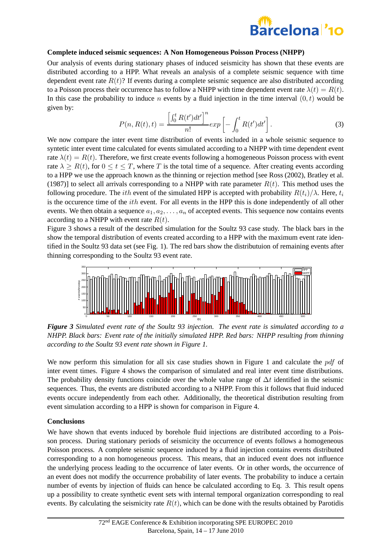

### **Complete induced seismic sequences: A Non Homogeneous Poisson Process (NHPP)**

Our analysis of events during stationary phases of induced seismicity has shown that these events are distributed according to a HPP. What reveals an analysis of a complete seismic sequence with time dependent event rate  $R(t)$ ? If events during a complete seismic sequence are also distributed according to a Poisson process their occurrence has to follow a NHPP with time dependent event rate  $\lambda(t) = R(t)$ . In this case the probability to induce *n* events by a fluid injection in the time interval  $(0, t)$  would be given by:

$$
P(n, R(t), t) = \frac{\left[\int_0^t R(t')dt'\right]^n}{n!} exp\left[-\int_0^t R(t')dt'\right].
$$
 (3)

We now compare the inter event time distribution of events included in a whole seismic sequence to syntetic inter event time calculated for events simulated according to a NHPP with time dependent event rate  $\lambda(t) = R(t)$ . Therefore, we first create events following a homogeneous Poisson process with event rate  $\lambda \ge R(t)$ , for  $0 \le t \le T$ , where T is the total time of a sequence. After creating events according to a HPP we use the approach known as the thinning or rejection method [see Ross (2002), Bratley et al. (1987)] to select all arrivals corresponding to a NHPP with rate parameter  $R(t)$ . This method uses the following procedure. The *ith* event of the simulated HPP is accepted with probability  $R(t_i)/\lambda$ . Here,  $t_i$ is the occurence time of the *ith* event. For all events in the HPP this is done independently of all other events. We then obtain a sequence  $a_1, a_2, \ldots, a_n$  of accepted events. This sequence now contains events according to a NHPP with event rate  $R(t)$ .

Figure 3 shows a result of the described simulation for the Soultz 93 case study. The black bars in the show the temporal distribution of events created according to a HPP with the maximum event rate identified in the Soultz 93 data set (see Fig. 1). The red bars show the distributuion of remaining events after thinning corresponding to the Soultz 93 event rate.



*Figure 3 Simulated event rate of the Soultz 93 injection. The event rate is simulated according to a NHPP. Black bars: Event rate of the initially simulated HPP. Red bars: NHPP resulting from thinning according to the Soultz 93 event rate shown in Figure 1.*

We now perform this simulation for all six case studies shown in Figure 1 and calculate the pdf of inter event times. Figure 4 shows the comparison of simulated and real inter event time distributions. The probability density functions coincide over the whole value range of  $\Delta t$  identified in the seismic sequences. Thus, the events are distributed according to a NHPP. From this it follows that fluid induced events occure independently from each other. Additionally, the theoretical distribution resulting from event simulation according to a HPP is shown for comparison in Figure 4.

#### **Conclusions**

We have shown that events induced by borehole fluid injections are distributed according to a Poisson process. During stationary periods of seismicity the occurrence of events follows a homogeneous Poisson process. A complete seismic sequence induced by a fluid injection contains events distributed corresponding to a non homogeneous process. This means, that an induced event does not influence the underlying process leading to the occurrence of later events. Or in other words, the occurrence of an event does not modify the occurrence probability of later events. The probability to induce a certain number of events by injection of fluids can hence be calculated according to Eq. 3. This result opens up a possibility to create synthetic event sets with internal temporal organization corresponding to real events. By calculating the seismicity rate  $R(t)$ , which can be done with the results obtained by Parotidis